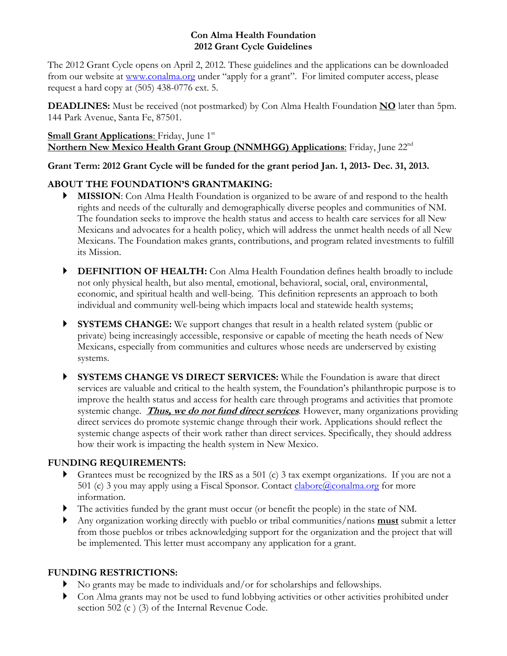## **Con Alma Health Foundation 2012 Grant Cycle Guidelines**

The 2012 Grant Cycle opens on April 2, 2012. These guidelines and the applications can be downloaded from our website at www.conalma.org under "apply for a grant". For limited computer access, please request a hard copy at (505) 438-0776 ext. 5.

**DEADLINES:** Must be received (not postmarked) by Con Alma Health Foundation **NO** later than 5pm. 144 Park Avenue, Santa Fe, 87501.

## **Small Grant Applications:** Friday, June 1<sup>st</sup> **Northern New Mexico Health Grant Group (NNMHGG) Applications:** Friday, June 22<sup>nd</sup>

# **Grant Term: 2012 Grant Cycle will be funded for the grant period Jan. 1, 2013- Dec. 31, 2013.**

# **ABOUT THE FOUNDATION'S GRANTMAKING:**

- **MISSION:** Con Alma Health Foundation is organized to be aware of and respond to the health rights and needs of the culturally and demographically diverse peoples and communities of NM. The foundation seeks to improve the health status and access to health care services for all New Mexicans and advocates for a health policy, which will address the unmet health needs of all New Mexicans. The Foundation makes grants, contributions, and program related investments to fulfill its Mission.
- **DEFINITION OF HEALTH:** Con Alma Health Foundation defines health broadly to include not only physical health, but also mental, emotional, behavioral, social, oral, environmental, economic, and spiritual health and well-being. This definition represents an approach to both individual and community well-being which impacts local and statewide health systems;
- **SYSTEMS CHANGE:** We support changes that result in a health related system (public or private) being increasingly accessible, responsive or capable of meeting the heath needs of New Mexicans, especially from communities and cultures whose needs are underserved by existing systems.
- **SYSTEMS CHANGE VS DIRECT SERVICES:** While the Foundation is aware that direct services are valuable and critical to the health system, the Foundation's philanthropic purpose is to improve the health status and access for health care through programs and activities that promote systemic change. **Thus, we do not fund direct services**. However, many organizations providing direct services do promote systemic change through their work. Applications should reflect the systemic change aspects of their work rather than direct services. Specifically, they should address how their work is impacting the health system in New Mexico.

# **FUNDING REQUIREMENTS:**

- Grantees must be recognized by the IRS as a 501 (c) 3 tax exempt organizations. If you are not a 501 (c) 3 you may apply using a Fiscal Sponsor. Contact  $\frac{clabor(\hat{a})conalma.org}{cli}$  for more information.
- The activities funded by the grant must occur (or benefit the people) in the state of NM.
- Any organization working directly with pueblo or tribal communities/nations **must** submit a letter from those pueblos or tribes acknowledging support for the organization and the project that will be implemented. This letter must accompany any application for a grant.

# **FUNDING RESTRICTIONS:**

- No grants may be made to individuals and/or for scholarships and fellowships.
- Con Alma grants may not be used to fund lobbying activities or other activities prohibited under section 502 (c ) (3) of the Internal Revenue Code.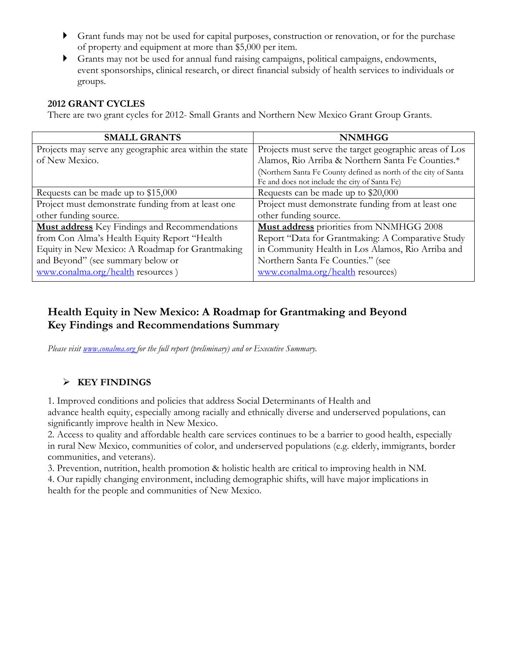- Grant funds may not be used for capital purposes, construction or renovation, or for the purchase of property and equipment at more than \$5,000 per item.
- Grants may not be used for annual fund raising campaigns, political campaigns, endowments, event sponsorships, clinical research, or direct financial subsidy of health services to individuals or groups.

## **2012 GRANT CYCLES**

There are two grant cycles for 2012- Small Grants and Northern New Mexico Grant Group Grants.

| <b>SMALL GRANTS</b>                                     | <b>NNMHGG</b>                                                   |
|---------------------------------------------------------|-----------------------------------------------------------------|
| Projects may serve any geographic area within the state | Projects must serve the target geographic areas of Los          |
| of New Mexico.                                          | Alamos, Rio Arriba & Northern Santa Fe Counties.*               |
|                                                         | (Northern Santa Fe County defined as north of the city of Santa |
|                                                         | Fe and does not include the city of Santa Fe)                   |
| Requests can be made up to \$15,000                     | Requests can be made up to \$20,000                             |
| Project must demonstrate funding from at least one      | Project must demonstrate funding from at least one              |
| other funding source.                                   | other funding source.                                           |
| <b>Must address</b> Key Findings and Recommendations    | Must address priorities from NNMHGG 2008                        |
| from Con Alma's Health Equity Report "Health            | Report "Data for Grantmaking: A Comparative Study               |
| Equity in New Mexico: A Roadmap for Grantmaking         | in Community Health in Los Alamos, Rio Arriba and               |
| and Beyond" (see summary below or                       | Northern Santa Fe Counties." (see                               |
| www.conalma.org/health resources)                       | www.conalma.org/health resources)                               |

# **Health Equity in New Mexico: A Roadmap for Grantmaking and Beyond Key Findings and Recommendations Summary**

*Please visit www.conalma.org for the full report (preliminary) and or Executive Summary.* 

# **KEY FINDINGS**

1. Improved conditions and policies that address Social Determinants of Health and advance health equity, especially among racially and ethnically diverse and underserved populations, can significantly improve health in New Mexico.

2. Access to quality and affordable health care services continues to be a barrier to good health, especially in rural New Mexico, communities of color, and underserved populations (e.g. elderly, immigrants, border communities, and veterans).

3. Prevention, nutrition, health promotion & holistic health are critical to improving health in NM. 4. Our rapidly changing environment, including demographic shifts, will have major implications in health for the people and communities of New Mexico.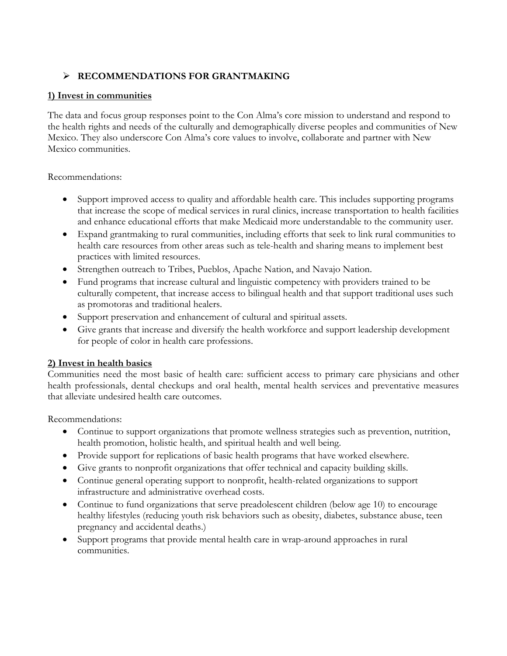# **RECOMMENDATIONS FOR GRANTMAKING**

## **1) Invest in communities**

The data and focus group responses point to the Con Alma's core mission to understand and respond to the health rights and needs of the culturally and demographically diverse peoples and communities of New Mexico. They also underscore Con Alma's core values to involve, collaborate and partner with New Mexico communities.

### Recommendations:

- Support improved access to quality and affordable health care. This includes supporting programs that increase the scope of medical services in rural clinics, increase transportation to health facilities and enhance educational efforts that make Medicaid more understandable to the community user.
- Expand grantmaking to rural communities, including efforts that seek to link rural communities to health care resources from other areas such as tele-health and sharing means to implement best practices with limited resources.
- Strengthen outreach to Tribes, Pueblos, Apache Nation, and Navajo Nation.
- Fund programs that increase cultural and linguistic competency with providers trained to be culturally competent, that increase access to bilingual health and that support traditional uses such as promotoras and traditional healers.
- Support preservation and enhancement of cultural and spiritual assets.
- Give grants that increase and diversify the health workforce and support leadership development for people of color in health care professions.

## **2) Invest in health basics**

Communities need the most basic of health care: sufficient access to primary care physicians and other health professionals, dental checkups and oral health, mental health services and preventative measures that alleviate undesired health care outcomes.

Recommendations:

- Continue to support organizations that promote wellness strategies such as prevention, nutrition, health promotion, holistic health, and spiritual health and well being.
- Provide support for replications of basic health programs that have worked elsewhere.
- Give grants to nonprofit organizations that offer technical and capacity building skills.
- Continue general operating support to nonprofit, health-related organizations to support infrastructure and administrative overhead costs.
- Continue to fund organizations that serve preadolescent children (below age 10) to encourage healthy lifestyles (reducing youth risk behaviors such as obesity, diabetes, substance abuse, teen pregnancy and accidental deaths.)
- Support programs that provide mental health care in wrap-around approaches in rural communities.